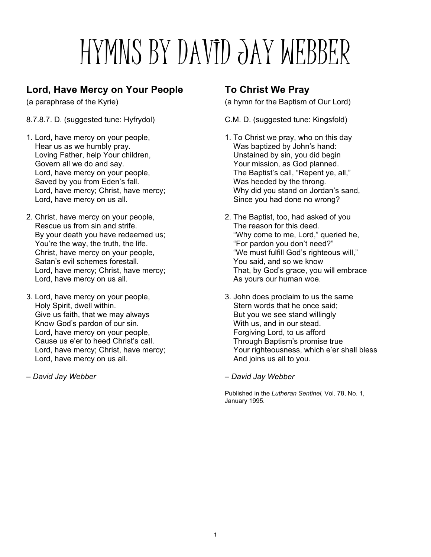# HYMNS BY DAVID JAY WEBBER

# **Lord, Have Mercy on Your People**

(a paraphrase of the Kyrie)

- 8.7.8.7. D. (suggested tune: Hyfrydol)
- 1. Lord, have mercy on your people, Hear us as we humbly pray. Loving Father, help Your children, Govern all we do and say. Lord, have mercy on your people, Saved by you from Eden's fall. Lord, have mercy; Christ, have mercy; Lord, have mercy on us all.
- 2. Christ, have mercy on your people, Rescue us from sin and strife. By your death you have redeemed us; You're the way, the truth, the life. Christ, have mercy on your people, Satan's evil schemes forestall. Lord, have mercy; Christ, have mercy; Lord, have mercy on us all.
- 3. Lord, have mercy on your people, Holy Spirit, dwell within. Give us faith, that we may always Know God's pardon of our sin. Lord, have mercy on your people, Cause us e'er to heed Christ's call. Lord, have mercy; Christ, have mercy; Lord, have mercy on us all.
- *David Jay Webber*

# **To Christ We Pray**

(a hymn for the Baptism of Our Lord)

C.M. D. (suggested tune: Kingsfold)

- 1. To Christ we pray, who on this day Was baptized by John's hand: Unstained by sin, you did begin Your mission, as God planned. The Baptist's call, "Repent ye, all," Was heeded by the throng. Why did you stand on Jordan's sand, Since you had done no wrong?
- 2. The Baptist, too, had asked of you The reason for this deed. "Why come to me, Lord," queried he, "For pardon you don't need?" "We must fulfill God's righteous will," You said, and so we know That, by God's grace, you will embrace As yours our human woe.
- 3. John does proclaim to us the same Stern words that he once said; But you we see stand willingly With us, and in our stead. Forgiving Lord, to us afford Through Baptism's promise true Your righteousness, which e'er shall bless And joins us all to you.

*– David Jay Webber*

Published in the *Lutheran Sentinel*, Vol. 78, No. 1, January 1995.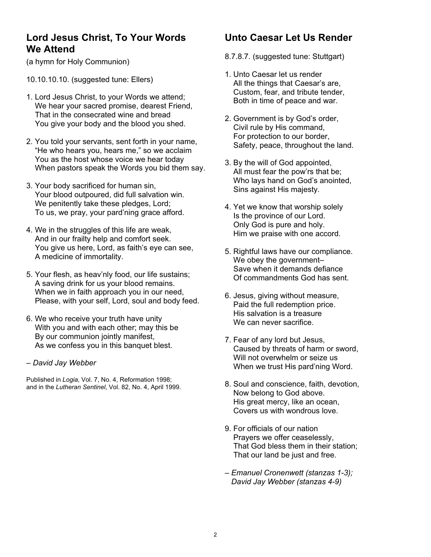### **Lord Jesus Christ, To Your Words We Attend**

(a hymn for Holy Communion)

10.10.10.10. (suggested tune: Ellers)

- 1. Lord Jesus Christ, to your Words we attend; We hear your sacred promise, dearest Friend, That in the consecrated wine and bread You give your body and the blood you shed.
- 2. You told your servants, sent forth in your name, "He who hears you, hears me," so we acclaim You as the host whose voice we hear today When pastors speak the Words you bid them say.
- 3. Your body sacrificed for human sin, Your blood outpoured, did full salvation win. We penitently take these pledges, Lord; To us, we pray, your pard'ning grace afford.
- 4. We in the struggles of this life are weak, And in our frailty help and comfort seek. You give us here, Lord, as faith's eye can see, A medicine of immortality.
- 5. Your flesh, as heav'nly food, our life sustains; A saving drink for us your blood remains. When we in faith approach you in our need, Please, with your self, Lord, soul and body feed.
- 6. We who receive your truth have unity With you and with each other; may this be By our communion jointly manifest, As we confess you in this banquet blest.
- *David Jay Webber*

Published in *Logia*, Vol. 7, No. 4, Reformation 1998; and in the *Lutheran Sentinel*, Vol. 82, No. 4, April 1999.

# **Unto Caesar Let Us Render**

- 8.7.8.7. (suggested tune: Stuttgart)
- 1. Unto Caesar let us render All the things that Caesar's are, Custom, fear, and tribute tender, Both in time of peace and war.
- 2. Government is by God's order, Civil rule by His command, For protection to our border, Safety, peace, throughout the land.
- 3. By the will of God appointed, All must fear the pow'rs that be; Who lays hand on God's anointed, Sins against His majesty.
- 4. Yet we know that worship solely Is the province of our Lord. Only God is pure and holy. Him we praise with one accord.
- 5. Rightful laws have our compliance. We obey the government– Save when it demands defiance Of commandments God has sent.
- 6. Jesus, giving without measure, Paid the full redemption price. His salvation is a treasure We can never sacrifice.
- 7. Fear of any lord but Jesus, Caused by threats of harm or sword, Will not overwhelm or seize us When we trust His pard'ning Word.
- 8. Soul and conscience, faith, devotion, Now belong to God above. His great mercy, like an ocean, Covers us with wondrous love.
- 9. For officials of our nation Prayers we offer ceaselessly, That God bless them in their station; That our land be just and free.
- *Emanuel Cronenwett (stanzas 1-3); David Jay Webber (stanzas 4-9)*